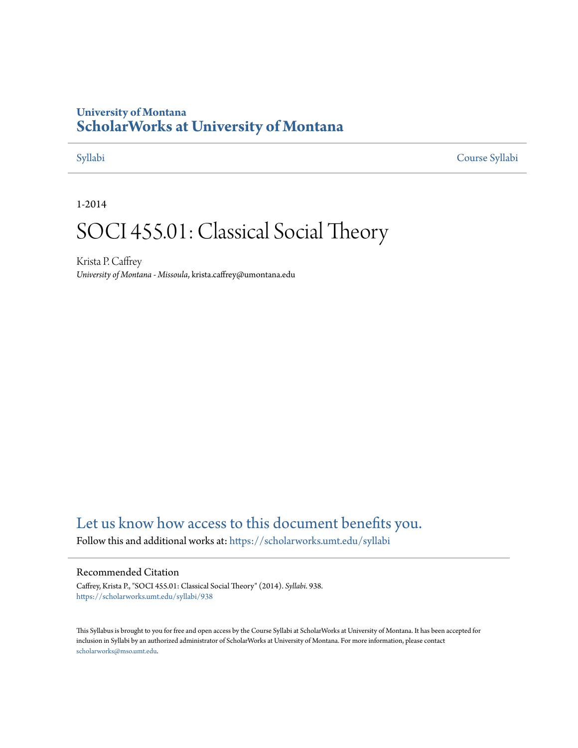# **University of Montana [ScholarWorks at University of Montana](https://scholarworks.umt.edu?utm_source=scholarworks.umt.edu%2Fsyllabi%2F938&utm_medium=PDF&utm_campaign=PDFCoverPages)**

[Syllabi](https://scholarworks.umt.edu/syllabi?utm_source=scholarworks.umt.edu%2Fsyllabi%2F938&utm_medium=PDF&utm_campaign=PDFCoverPages) [Course Syllabi](https://scholarworks.umt.edu/course_syllabi?utm_source=scholarworks.umt.edu%2Fsyllabi%2F938&utm_medium=PDF&utm_campaign=PDFCoverPages)

1-2014

# SOCI 455.01: Classical Social Theory

Krista P. Caffrey *University of Montana - Missoula*, krista.caffrey@umontana.edu

# [Let us know how access to this document benefits you.](https://goo.gl/forms/s2rGfXOLzz71qgsB2)

Follow this and additional works at: [https://scholarworks.umt.edu/syllabi](https://scholarworks.umt.edu/syllabi?utm_source=scholarworks.umt.edu%2Fsyllabi%2F938&utm_medium=PDF&utm_campaign=PDFCoverPages)

#### Recommended Citation

Caffrey, Krista P., "SOCI 455.01: Classical Social Theory" (2014). *Syllabi*. 938. [https://scholarworks.umt.edu/syllabi/938](https://scholarworks.umt.edu/syllabi/938?utm_source=scholarworks.umt.edu%2Fsyllabi%2F938&utm_medium=PDF&utm_campaign=PDFCoverPages)

This Syllabus is brought to you for free and open access by the Course Syllabi at ScholarWorks at University of Montana. It has been accepted for inclusion in Syllabi by an authorized administrator of ScholarWorks at University of Montana. For more information, please contact [scholarworks@mso.umt.edu](mailto:scholarworks@mso.umt.edu).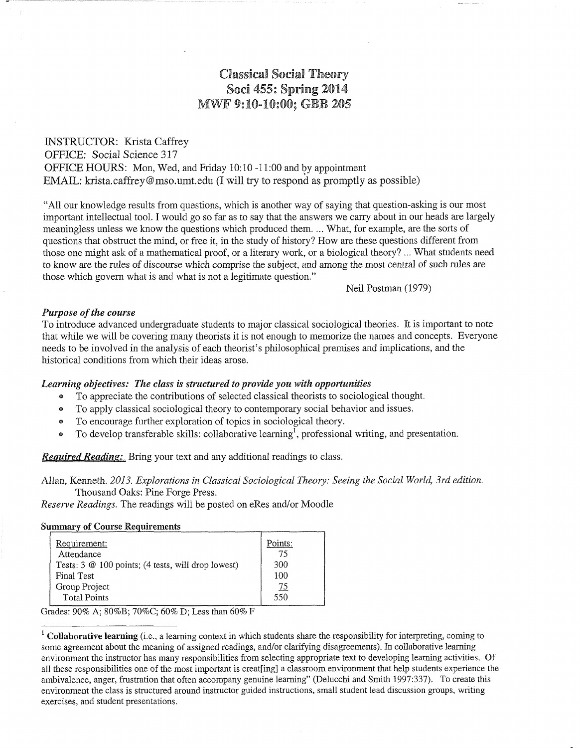# **Classical Soda! Theory Sod 455: Spring 2014 MWF 9:10-10:00; GBB 205**

### INSTRUCTOR: Krista Caffrey OFFICE: Social Science 317 OFFICE HOURS: Mon, Wed, and Friday 10:10 -11:00 and by appointment EMAIL: krista.caffrey@mso.umt.edu (I will try to respond as promptly as possible)

"All our knowledge results from questions, which is another way of saying that question-asking is our most important intellectual tool. I would go so far as to say that the answers we carry about in our heads are largely meaningless unless we know the questions which produced them.... What, for example, are the sorts of questions that obstruct the mind, or free it, in the study of history? How are these questions different from those one might ask of a mathematical proof, or a literary work, or a biological theory? ... What students need to know are the rules of discourse which comprise the subject, and among the most central of such rules are those which govern what is and what is not a legitimate question."

Neil Postman (1979)

#### *Purpose of the course*

To introduce advanced undergraduate students to major classical sociological theories. It is important to note that while we will be covering many theorists it is not enough to memorize the names and concepts. Everyone needs to be involved in the analysis of each theorist's philosophical premises and implications, and the historical conditions from which their ideas arose.

#### *Learning objectives: The class is structured to provide you with opportunities*

- ® To appreciate the contributions of selected classical theorists to sociological thought.
- ® To apply classical sociological theory to contemporary social behavior and issues.
- ® To encourage further exploration of topics in sociological theory.
- $\bullet$  To develop transferable skills: collaborative learning<sup>1</sup>, professional writing, and presentation.

*Required Readins:* Bring your text and any additional readings to class.

Allan, Kenneth. *2013. Explorations in Classical Sociological Theory: Seeing the Social World, 3rd edition.* Thousand Oaks: Pine Forge Press.

*Reserve Readings.* The readings will be posted on eRes and/or Moodle

#### **Summary of Course Requirements**

| Requirement:<br>Attendance                                     | Points:<br>75 |
|----------------------------------------------------------------|---------------|
| Tests: $3 \& 100 \text{ points}$ ; (4 tests, will drop lowest) | 300           |
| Final Test                                                     | 100           |
| Group Project                                                  | <u>75</u>     |
| <b>Total Points</b>                                            | 550           |

Grades: 90% A; 80%B; 70%C; 60% D; Less than 60% F

**<sup>1</sup> Collaborative learning** (i.e., a learning context in which students share the responsibility for interpreting, coming to some agreement about the meaning of assigned readings, and/or clarifying disagreements). In collaborative learning environment the instructor has many responsibilities from selecting appropriate text to developing learning activities. Of all these responsibilities one of the most important is creating] a classroom environment that help students experience the ambivalence, anger, frustration that often accompany genuine learning" (Delucchi and Smith 1997:337). To create this environment the class is structured around instructor guided instructions, small student lead discussion groups, writing exercises, and student presentations.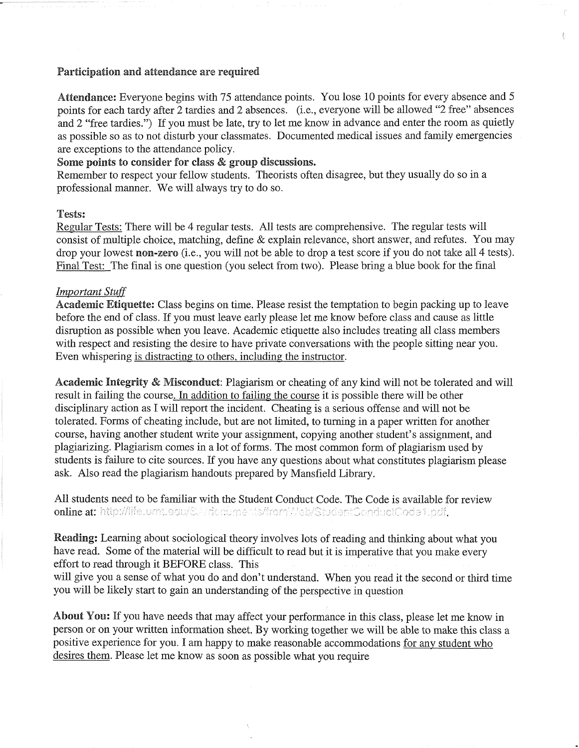#### **Participation** and **attendance are required**

**Attendance:** Everyone begins with 75 attendance points. You lose 10 points for every absence and 5 points for each tardy after 2 tardies and 2 absences. (i.e., everyone will be allowed "2 free" absences and 2 "free tardies.") If you must be late, try to let me know in advance and enter the room as quietly as possible so as to not disturb your classmates. Documented medical issues and family emergencies are exceptions to the attendance policy.

f.

#### **Some points to consider** for class **& group discussions.**

Remember to respect your fellow students. Theorists often disagree, but they usually do so in a professional manner. We will always try to do so.

#### **Tests:**

Regular Tests: There will be 4 regular tests. All tests are comprehensive. The regular tests will consist of multiple choice, matching, define & explain relevance, short answer, and refutes. You may drop your lowest **non-zero** (i.e., you will not be able to drop a test score if you do not take all 4 tests). Final Test: The final is one question (you select from two). Please bring a blue book for the final

#### *Important Stuff*

**Academic Etiquette:** Class begins on time. Please resist the temptation to begin packing up to leave before the end of class. If you must leave early please let me know before class and cause as little disruption as possible when you leave. Academic etiquette also includes treating all class members with respect and resisting the desire to have private conversations with the people sitting near you. Even whispering is distracting to others, including the instructor.

**Academic Integrity & Misconduct:** Plagiarism or cheating of any kind will not be tolerated and will result in failing the course. In addition to failing the course it is possible there will be other disciplinary action as I will report the incident. Cheating is a serious offense and will not be tolerated. Forms of cheating include, but are not limited, to turning in a paper written for another course, having another student write your assignment, copying another student's assignment, and plagiarizing. Plagiarism comes in a lot of forms. The most common form of plagiarism used by students is failure to cite sources. If you have any questions about what constitutes plagiarism please ask. Also read the plagiarism handouts prepared by Mansfield Library.

All students need to be familiar with the Student Conduct Code. The Code is available for review online at: http://life.umt.edu/S.Ardcouments/fromWeb/StudentConductCode1.pdf.

**Reading:** Learning about sociological theory involves lots of reading and thinking about what you have read. Some of the material will be difficult to read but it is imperative that you make every effort to read through it BEFORE class. This

will give you a sense of what you do and don't understand. When you read it the second or third time you will be likely start to gain an understanding of the perspective in question

**About** You: If you have needs that may affect your performance in this class, please let me know in person or on your written information sheet. By working together we will be able to make this class a positive experience for you. I am happy to make reasonable accommodations for any student who desires them. Please let me know as soon as possible what you require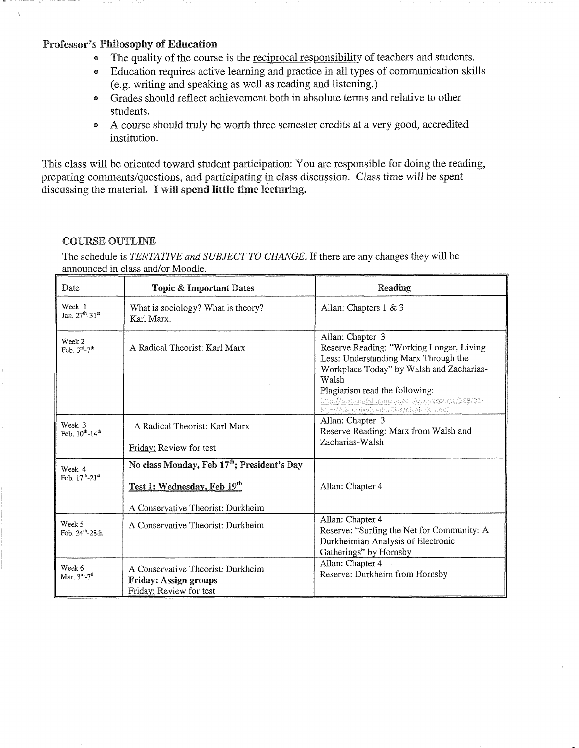#### Professor's Philosophy of Education

- ® The quality of the course is the reciprocal responsibility of teachers and students.
- © Education requires active learning and practice in all types of communication skills (e.g. writing and speaking as well as reading and listening.)
- Grades should reflect achievement both in absolute terms and relative to other students.
- ® A course should truly be worth three semester credits at a very good, accredited institution.

This class will be oriented toward student participation: You are responsible for doing the reading, preparing comments/questions, and participating in class discussion. Class time will be spent discussing the material. I will spend little time lecturing.

#### COURSE OUTLINE

The schedule is *TENTATIVE and SUBJECT TO CHANGE.* If there are any changes they will be announced in class and/or Moodle.

| Date                                              | <b>Topic &amp; Important Dates</b>                                                                                          | Reading                                                                                                                                                                                                                                                                                           |
|---------------------------------------------------|-----------------------------------------------------------------------------------------------------------------------------|---------------------------------------------------------------------------------------------------------------------------------------------------------------------------------------------------------------------------------------------------------------------------------------------------|
| Week 1<br>Jan. 27 <sup>th</sup> -31 <sup>st</sup> | What is sociology? What is theory?<br>Karl Marx.                                                                            | Allan: Chapters 1 & 3                                                                                                                                                                                                                                                                             |
| Week 2<br>Feb. 3rd-7th                            | A Radical Theorist: Karl Marx                                                                                               | Allan: Chapter 3<br>Reserve Reading: "Working Longer, Living<br>Less: Understanding Marx Through the<br>Workplace Today" by Walsh and Zacharias-<br>Walsh<br>Plagiarism read the following:<br>http://qwi.english.purque.equ/qwi/respurce/589/01/<br>htsp://sia.ucciavic.edu/files/clariarism.ncf |
| Week 3<br>Feb. $10^{th}$ -14 <sup>th</sup>        | A Radical Theorist: Karl Marx                                                                                               | Allan: Chapter 3<br>Reserve Reading: Marx from Walsh and<br>Zacharias-Walsh                                                                                                                                                                                                                       |
|                                                   | Friday: Review for test                                                                                                     |                                                                                                                                                                                                                                                                                                   |
| Week 4<br>Feb. 17th-21st                          | No class Monday, Feb 17 <sup>th</sup> ; President's Day<br>Test 1: Wednesday, Feb 19th<br>A Conservative Theorist: Durkheim | Allan: Chapter 4                                                                                                                                                                                                                                                                                  |
| Week 5<br>Feb. 24th-28th                          | A Conservative Theorist: Durkheim                                                                                           | Allan: Chapter 4<br>Reserve: "Surfing the Net for Community: A<br>Durkheimian Analysis of Electronic<br>Gatherings" by Hornsby                                                                                                                                                                    |
| Week 6<br>Mar. 3rd-7th                            | A Conservative Theorist: Durkheim<br><b>Friday: Assign groups</b><br>Friday: Review for test                                | Allan: Chapter 4<br>Reserve: Durkheim from Hornsby                                                                                                                                                                                                                                                |